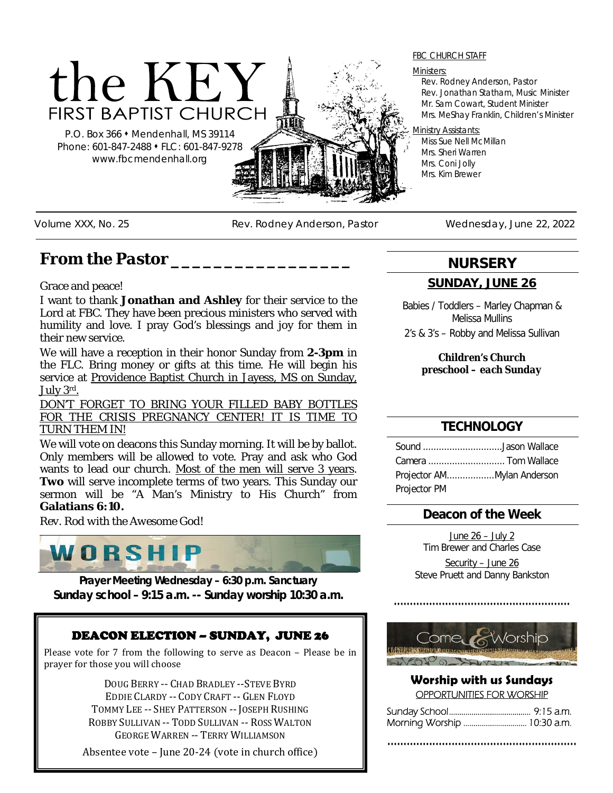# the KEY **FIRST BAPTIST CHURCH**

P.O. Box 366 Mendenhall, MS 39114 Phone: 601-847-2488 • FLC: 601-847-9278 www.fbcmendenhall.org



#### Ministers:

Rev. Rodney Anderson, Pastor Rev. Jonathan Statham, Music Minister Mr. Sam Cowart, Student Minister Mrs. MeShay Franklin, Children's Minister

#### Ministry Assistants:

Miss Sue Nell McMillan Mrs. Sheri Warren Mrs. Coni Jolly Mrs. Kim Brewer

Volume XXX, No. 25 Rev. Rodney Anderson, Pastor Wednesday, June 22, 2022

# *From the Pastor \_\_\_\_\_\_\_\_\_\_\_\_\_\_\_\_\_*

Grace and peace!

I want to thank **Jonathan and Ashley** for their service to the Lord at FBC. They have been precious ministers who served with humility and love. I pray God's blessings and joy for them in their new service.

We will have a reception in their honor Sunday from **2-3pm** in the FLC. Bring money or gifts at this time. He will begin his service at Providence Baptist Church in Jayess, MS on Sunday, July 3rd.

DON'T FORGET TO BRING YOUR FILLED BABY BOTTLES FOR THE CRISIS PREGNANCY CENTER! IT IS TIME TO TURN THEM IN!

We will vote on deacons this Sunday morning. It will be by ballot. Only members will be allowed to vote. Pray and ask who God wants to lead our church. Most of the men will serve 3 years. **Two** will serve incomplete terms of two years. This Sunday our sermon will be "A Man's Ministry to His Church" from **Galatians 6:10.**

*Rev. Rod with the Awesome God!*



**Prayer Meeting Wednesday – 6:30 p.m. Sanctuary Sunday school – 9:15 a.m. -- Sunday worship 10:30 a.m.** 

## DEACON ELECTION – SUNDAY, JUNE 26

Please vote for 7 from the following to serve as Deacon – Please be in prayer for those you will choose

> DOUG BERRY -- CHAD BRADLEY --STEVE BYRD EDDIE CLARDY -- CODY CRAFT -- GLEN FLOYD TOMMY LEE -- SHEY PATTERSON -- JOSEPH RUSHING ROBBY SULLIVAN -- TODD SULLIVAN -- ROSS WALTON GEORGE WARREN -- TERRY WILLIAMSON

Absentee vote – June 20-24 (vote in church office)

**NURSERY**

#### **SUNDAY, JUNE 26**

Babies / Toddlers – Marley Chapman & Melissa Mullins 2's & 3's – Robby and Melissa Sullivan

> *Children's Church preschool – each Sunday*

#### **TECHNOLOGY**

| Sound Jason Wallace |  |
|---------------------|--|
| Camera  Tom Wallace |  |
|                     |  |
| Projector PM        |  |

## **Deacon of the Week**

June 26 – July 2 Tim Brewer and Charles Case Security – June 26 Steve Pruett and Danny Bankston



#### **Worship with us Sundays** OPPORTUNITIES FOR WORSHIP